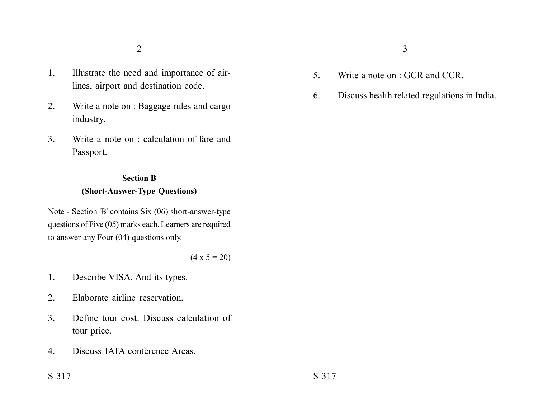- 1. Illustrate the need and importance of airlines, airport and destination code.
- 2. Write a note on : Baggage rules and cargo industry.
- 3. Write a note on : calculation of fare and Passport.

## **Section B (Short-Answer-Type Questions)**

Note - Section 'B' contains Six (06) short-answer-type questions of Five (05) marks each. Learners are required to answer any Four (04) questions only.

 $(4 \times 5 = 20)$ 

- 1. Describe VISA. And its types.
- 2. Elaborate airline reservation.
- 3. Define tour cost. Discuss calculation of tour price.
- 4. Discuss IATA conference Areas.
- 5. Write a note on : GCR and CCR.
- 6. Discuss health related regulations in India.